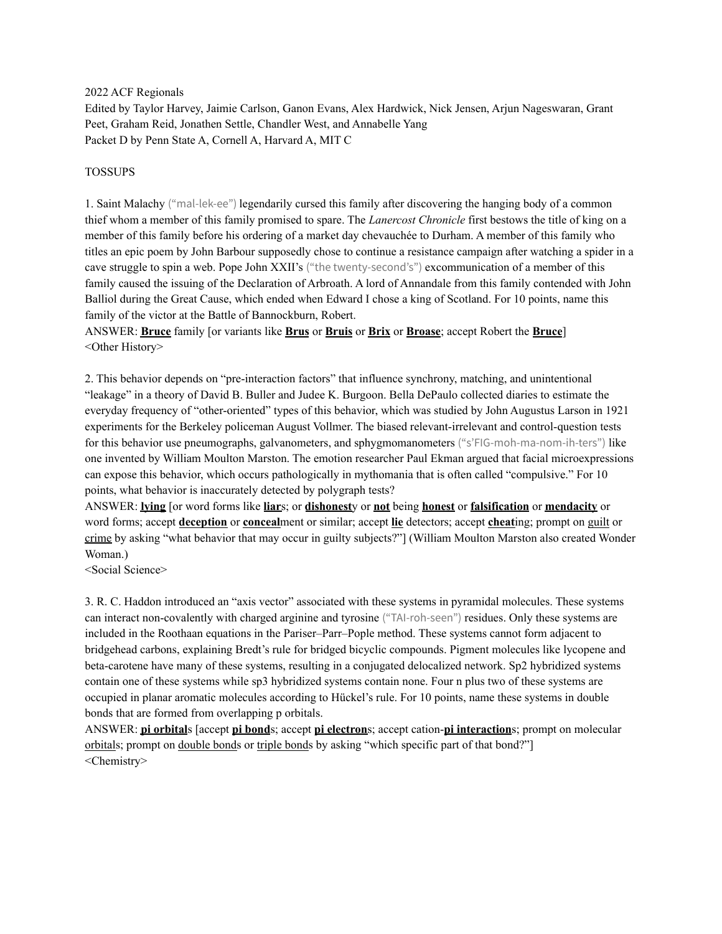2022 ACF Regionals

Edited by Taylor Harvey, Jaimie Carlson, Ganon Evans, Alex Hardwick, Nick Jensen, Arjun Nageswaran, Grant Peet, Graham Reid, Jonathen Settle, Chandler West, and Annabelle Yang Packet D by Penn State A, Cornell A, Harvard A, MIT C

#### TOSSUPS

1. Saint Malachy ("mal-lek-ee") legendarily cursed this family after discovering the hanging body of a common thief whom a member of this family promised to spare. The *Lanercost Chronicle* first bestows the title of king on a member of this family before his ordering of a market day chevauchée to Durham. A member of this family who titles an epic poem by John Barbour supposedly chose to continue a resistance campaign after watching a spider in a cave struggle to spin a web. Pope John XXII's ("the twenty-second's") excommunication of a member of this family caused the issuing of the Declaration of Arbroath. A lord of Annandale from this family contended with John Balliol during the Great Cause, which ended when Edward I chose a king of Scotland. For 10 points, name this family of the victor at the Battle of Bannockburn, Robert.

ANSWER: **Bruce** family [or variants like **Brus** or **Bruis** or **Brix** or **Broase**; accept Robert the **Bruce**] <Other History>

2. This behavior depends on "pre-interaction factors" that influence synchrony, matching, and unintentional "leakage" in a theory of David B. Buller and Judee K. Burgoon. Bella DePaulo collected diaries to estimate the everyday frequency of "other-oriented" types of this behavior, which was studied by John Augustus Larson in 1921 experiments for the Berkeley policeman August Vollmer. The biased relevant-irrelevant and control-question tests for this behavior use pneumographs, galvanometers, and sphygmomanometers ("s'FIG-moh-ma-nom-ih-ters") like one invented by William Moulton Marston. The emotion researcher Paul Ekman argued that facial microexpressions can expose this behavior, which occurs pathologically in mythomania that is often called "compulsive." For 10 points, what behavior is inaccurately detected by polygraph tests?

ANSWER: **lying** [or word forms like **liar**s; or **dishonest**y or **not** being **honest** or **falsification** or **mendacity** or word forms; accept **deception** or **conceal**ment or similar; accept **lie** detectors; accept **cheat**ing; prompt on guilt or crime by asking "what behavior that may occur in guilty subjects?"] (William Moulton Marston also created Wonder Woman.)

<Social Science>

3. R. C. Haddon introduced an "axis vector" associated with these systems in pyramidal molecules. These systems can interact non-covalently with charged arginine and tyrosine ("TAI-roh-seen") residues. Only these systems are included in the Roothaan equations in the Pariser–Parr–Pople method. These systems cannot form adjacent to bridgehead carbons, explaining Bredt's rule for bridged bicyclic compounds. Pigment molecules like lycopene and beta-carotene have many of these systems, resulting in a conjugated delocalized network. Sp2 hybridized systems contain one of these systems while sp3 hybridized systems contain none. Four n plus two of these systems are occupied in planar aromatic molecules according to Hückel's rule. For 10 points, name these systems in double bonds that are formed from overlapping p orbitals.

ANSWER: **pi orbital**s [accept **pi bond**s; accept **pi electron**s; accept cation-**pi interaction**s; prompt on molecular orbitals; prompt on double bonds or triple bonds by asking "which specific part of that bond?"] <Chemistry>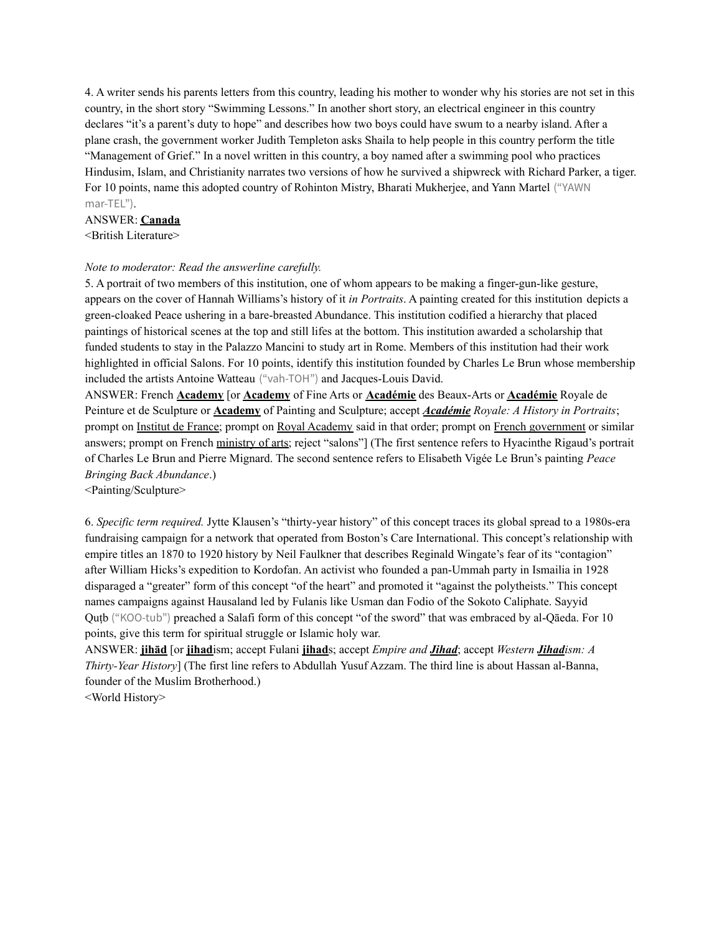4. A writer sends his parents letters from this country, leading his mother to wonder why his stories are not set in this country, in the short story "Swimming Lessons." In another short story, an electrical engineer in this country declares "it's a parent's duty to hope" and describes how two boys could have swum to a nearby island. After a plane crash, the government worker Judith Templeton asks Shaila to help people in this country perform the title "Management of Grief." In a novel written in this country, a boy named after a swimming pool who practices Hindusim, Islam, and Christianity narrates two versions of how he survived a shipwreck with Richard Parker, a tiger. For 10 points, name this adopted country of Rohinton Mistry, Bharati Mukherjee, and Yann Martel ("YAWN mar-TEL").

#### ANSWER: **Canada**

<British Literature>

#### *Note to moderator: Read the answerline carefully.*

5. A portrait of two members of this institution, one of whom appears to be making a finger-gun-like gesture, appears on the cover of Hannah Williams's history of it *in Portraits*. A painting created for this institution depicts a green-cloaked Peace ushering in a bare-breasted Abundance. This institution codified a hierarchy that placed paintings of historical scenes at the top and still lifes at the bottom. This institution awarded a scholarship that funded students to stay in the Palazzo Mancini to study art in Rome. Members of this institution had their work highlighted in official Salons. For 10 points, identify this institution founded by Charles Le Brun whose membership included the artists Antoine Watteau ("vah-TOH") and Jacques-Louis David.

ANSWER: French **Academy** [or **Academy** of Fine Arts or **Académie** des Beaux-Arts or **Académie** Royale de Peinture et de Sculpture or **Academy** of Painting and Sculpture; accept *Académie Royale: A History in Portraits*; prompt on Institut de France; prompt on Royal Academy said in that order; prompt on French government or similar answers; prompt on French ministry of arts; reject "salons"] (The first sentence refers to Hyacinthe Rigaud's portrait of Charles Le Brun and Pierre Mignard. The second sentence refers to Elisabeth Vigée Le Brun's painting *Peace Bringing Back Abundance*.)

<Painting/Sculpture>

6. *Specific term required.* Jytte Klausen's "thirty-year history" of this concept traces its global spread to a 1980s-era fundraising campaign for a network that operated from Boston's Care International. This concept's relationship with empire titles an 1870 to 1920 history by Neil Faulkner that describes Reginald Wingate's fear of its "contagion" after William Hicks's expedition to Kordofan. An activist who founded a pan-Ummah party in Ismailia in 1928 disparaged a "greater" form of this concept "of the heart" and promoted it "against the polytheists." This concept names campaigns against Hausaland led by Fulanis like Usman dan Fodio of the Sokoto Caliphate. Sayyid Quṭb ("KOO-tub") preached a Salafi form of this concept "of the sword" that was embraced by al-Qāeda. For 10 points, give this term for spiritual struggle or Islamic holy war.

ANSWER: **jihād** [or **jihad**ism; accept Fulani **jihad**s; accept *Empire and Jihad*; accept *Western Jihadism: A Thirty-Year History*] (The first line refers to Abdullah Yusuf Azzam. The third line is about Hassan al-Banna, founder of the Muslim Brotherhood.)

<World History>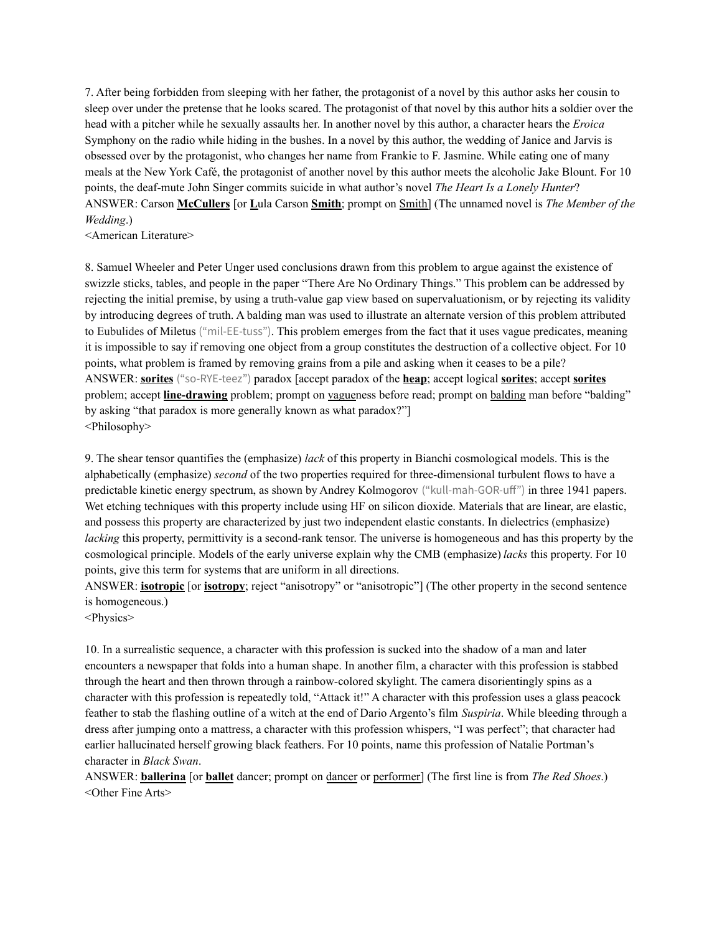7. After being forbidden from sleeping with her father, the protagonist of a novel by this author asks her cousin to sleep over under the pretense that he looks scared. The protagonist of that novel by this author hits a soldier over the head with a pitcher while he sexually assaults her. In another novel by this author, a character hears the *Eroica* Symphony on the radio while hiding in the bushes. In a novel by this author, the wedding of Janice and Jarvis is obsessed over by the protagonist, who changes her name from Frankie to F. Jasmine. While eating one of many meals at the New York Café, the protagonist of another novel by this author meets the alcoholic Jake Blount. For 10 points, the deaf-mute John Singer commits suicide in what author's novel *The Heart Is a Lonely Hunter*? ANSWER: Carson **McCullers** [or **L**ula Carson **Smith**; prompt on Smith] (The unnamed novel is *The Member of the Wedding*.)

<American Literature>

8. Samuel Wheeler and Peter Unger used conclusions drawn from this problem to argue against the existence of swizzle sticks, tables, and people in the paper "There Are No Ordinary Things." This problem can be addressed by rejecting the initial premise, by using a truth-value gap view based on supervaluationism, or by rejecting its validity by introducing degrees of truth. A balding man was used to illustrate an alternate version of this problem attributed to Eubulides of Miletus ("mil-EE-tuss"). This problem emerges from the fact that it uses vague predicates, meaning it is impossible to say if removing one object from a group constitutes the destruction of a collective object. For 10 points, what problem is framed by removing grains from a pile and asking when it ceases to be a pile? ANSWER: **sorites** ("so-RYE-teez") paradox [accept paradox of the **heap**; accept logical **sorites**; accept **sorites** problem; accept **line-drawing** problem; prompt on vagueness before read; prompt on balding man before "balding" by asking "that paradox is more generally known as what paradox?"] <Philosophy>

9. The shear tensor quantifies the (emphasize) *lack* of this property in Bianchi cosmological models. This is the alphabetically (emphasize) *second* of the two properties required for three-dimensional turbulent flows to have a predictable kinetic energy spectrum, as shown by Andrey Kolmogorov ("kull-mah-GOR-uff") in three 1941 papers. Wet etching techniques with this property include using HF on silicon dioxide. Materials that are linear, are elastic, and possess this property are characterized by just two independent elastic constants. In dielectrics (emphasize) *lacking* this property, permittivity is a second-rank tensor. The universe is homogeneous and has this property by the cosmological principle. Models of the early universe explain why the CMB (emphasize) *lacks* this property. For 10 points, give this term for systems that are uniform in all directions.

ANSWER: **isotropic** [or **isotropy**; reject "anisotropy" or "anisotropic"] (The other property in the second sentence is homogeneous.)

<Physics>

10. In a surrealistic sequence, a character with this profession is sucked into the shadow of a man and later encounters a newspaper that folds into a human shape. In another film, a character with this profession is stabbed through the heart and then thrown through a rainbow-colored skylight. The camera disorientingly spins as a character with this profession is repeatedly told, "Attack it!" A character with this profession uses a glass peacock feather to stab the flashing outline of a witch at the end of Dario Argento's film *Suspiria*. While bleeding through a dress after jumping onto a mattress, a character with this profession whispers, "I was perfect"; that character had earlier hallucinated herself growing black feathers. For 10 points, name this profession of Natalie Portman's character in *Black Swan*.

ANSWER: **ballerina** [or **ballet** dancer; prompt on dancer or performer] (The first line is from *The Red Shoes*.) <Other Fine Arts>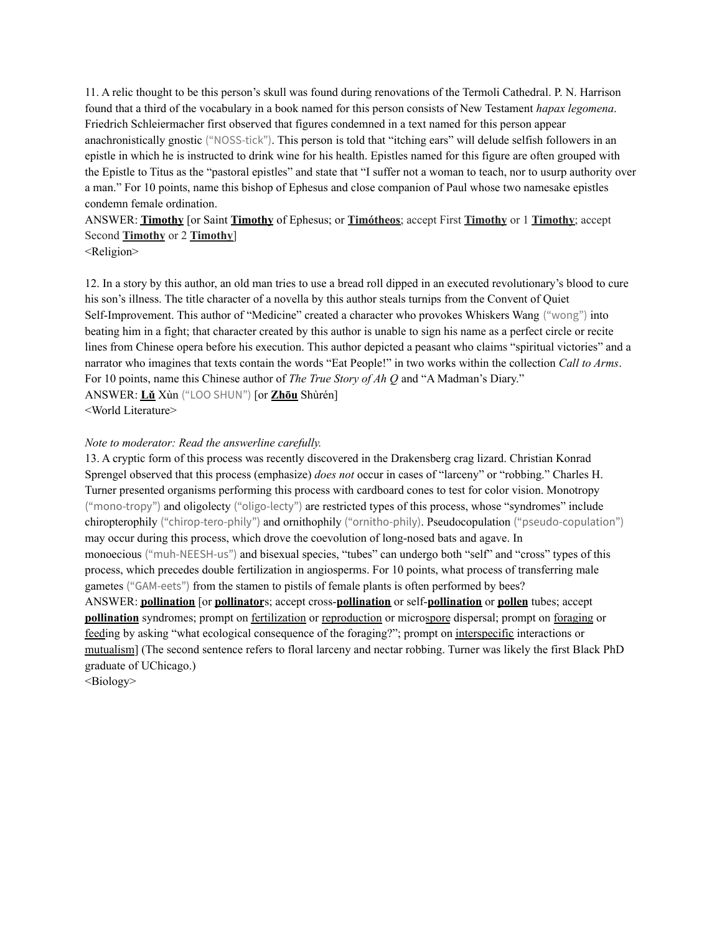11. A relic thought to be this person's skull was found during renovations of the Termoli Cathedral. P. N. Harrison found that a third of the vocabulary in a book named for this person consists of New Testament *hapax legomena*. Friedrich Schleiermacher first observed that figures condemned in a text named for this person appear anachronistically gnostic ("NOSS-tick"). This person is told that "itching ears" will delude selfish followers in an epistle in which he is instructed to drink wine for his health. Epistles named for this figure are often grouped with the Epistle to Titus as the "pastoral epistles" and state that "I suffer not a woman to teach, nor to usurp authority over a man." For 10 points, name this bishop of Ephesus and close companion of Paul whose two namesake epistles condemn female ordination.

ANSWER: **Timothy** [or Saint **Timothy** of Ephesus; or **Timótheos**; accept First **Timothy** or 1 **Timothy**; accept Second **Timothy** or 2 **Timothy**]

<Religion>

12. In a story by this author, an old man tries to use a bread roll dipped in an executed revolutionary's blood to cure his son's illness. The title character of a novella by this author steals turnips from the Convent of Quiet Self-Improvement. This author of "Medicine" created a character who provokes Whiskers Wang ("wong") into beating him in a fight; that character created by this author is unable to sign his name as a perfect circle or recite lines from Chinese opera before his execution. This author depicted a peasant who claims "spiritual victories" and a narrator who imagines that texts contain the words "Eat People!" in two works within the collection *Call to Arms*. For 10 points, name this Chinese author of *The True Story of Ah Q* and "A Madman's Diary." ANSWER: **Lǔ** Xùn ("LOO SHUN") [or **Zhōu** Shùrén] <World Literature>

#### *Note to moderator: Read the answerline carefully.*

13. A cryptic form of this process was recently discovered in the Drakensberg crag lizard. Christian Konrad Sprengel observed that this process (emphasize) *does not* occur in cases of "larceny" or "robbing." Charles H. Turner presented organisms performing this process with cardboard cones to test for color vision. Monotropy ("mono-tropy") and oligolecty ("oligo-lecty") are restricted types of this process, whose "syndromes" include chiropterophily ("chirop-tero-phily") and ornithophily ("ornitho-phily). Pseudocopulation ("pseudo-copulation") may occur during this process, which drove the coevolution of long-nosed bats and agave. In monoecious ("muh-NEESH-us") and bisexual species, "tubes" can undergo both "self" and "cross" types of this process, which precedes double fertilization in angiosperms. For 10 points, what process of transferring male gametes ("GAM-eets") from the stamen to pistils of female plants is often performed by bees? ANSWER: **pollination** [or **pollinator**s; accept cross-**pollination** or self-**pollination** or **pollen** tubes; accept **pollination** syndromes; prompt on fertilization or reproduction or microspore dispersal; prompt on foraging or feeding by asking "what ecological consequence of the foraging?"; prompt on interspecific interactions or mutualism] (The second sentence refers to floral larceny and nectar robbing. Turner was likely the first Black PhD graduate of UChicago.)

<Biology>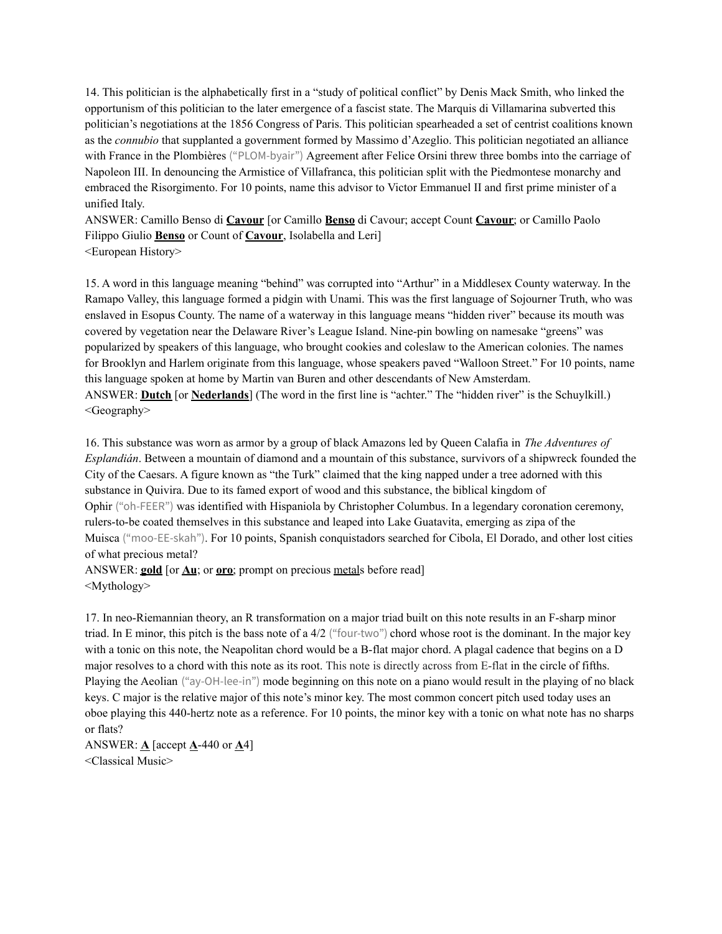14. This politician is the alphabetically first in a "study of political conflict" by Denis Mack Smith, who linked the opportunism of this politician to the later emergence of a fascist state. The Marquis di Villamarina subverted this politician's negotiations at the 1856 Congress of Paris. This politician spearheaded a set of centrist coalitions known as the *connubio* that supplanted a government formed by Massimo d'Azeglio. This politician negotiated an alliance with France in the Plombières ("PLOM-byair") Agreement after Felice Orsini threw three bombs into the carriage of Napoleon III. In denouncing the Armistice of Villafranca, this politician split with the Piedmontese monarchy and embraced the Risorgimento. For 10 points, name this advisor to Victor Emmanuel II and first prime minister of a unified Italy.

ANSWER: Camillo Benso di **Cavour** [or Camillo **Benso** di Cavour; accept Count **Cavour**; or Camillo Paolo Filippo Giulio **Benso** or Count of **Cavour**, Isolabella and Leri] <European History>

15. A word in this language meaning "behind" was corrupted into "Arthur" in a Middlesex County waterway. In the Ramapo Valley, this language formed a pidgin with Unami. This was the first language of Sojourner Truth, who was enslaved in Esopus County. The name of a waterway in this language means "hidden river" because its mouth was covered by vegetation near the Delaware River's League Island. Nine-pin bowling on namesake "greens" was popularized by speakers of this language, who brought cookies and coleslaw to the American colonies. The names for Brooklyn and Harlem originate from this language, whose speakers paved "Walloon Street." For 10 points, name this language spoken at home by Martin van Buren and other descendants of New Amsterdam. ANSWER: **Dutch** [or **Nederlands**] (The word in the first line is "achter." The "hidden river" is the Schuylkill.) <Geography>

16. This substance was worn as armor by a group of black Amazons led by Queen Calafia in *The Adventures of Esplandián*. Between a mountain of diamond and a mountain of this substance, survivors of a shipwreck founded the City of the Caesars. A figure known as "the Turk" claimed that the king napped under a tree adorned with this substance in Quivira. Due to its famed export of wood and this substance, the biblical kingdom of Ophir ("oh-FEER") was identified with Hispaniola by Christopher Columbus. In a legendary coronation ceremony, rulers-to-be coated themselves in this substance and leaped into Lake Guatavita, emerging as zipa of the Muisca ("moo-EE-skah"). For 10 points, Spanish conquistadors searched for Cibola, El Dorado, and other lost cities of what precious metal?

ANSWER: **gold** [or **Au**; or **oro**; prompt on precious metals before read] <Mythology>

17. In neo-Riemannian theory, an R transformation on a major triad built on this note results in an F-sharp minor triad. In E minor, this pitch is the bass note of a 4/2 ("four-two") chord whose root is the dominant. In the major key with a tonic on this note, the Neapolitan chord would be a B-flat major chord. A plagal cadence that begins on a D major resolves to a chord with this note as its root. This note is directly across from E-flat in the circle of fifths. Playing the Aeolian ("ay-OH-lee-in") mode beginning on this note on a piano would result in the playing of no black keys. C major is the relative major of this note's minor key. The most common concert pitch used today uses an oboe playing this 440-hertz note as a reference. For 10 points, the minor key with a tonic on what note has no sharps or flats?

ANSWER: **A** [accept **A**-440 or **A**4] <Classical Music>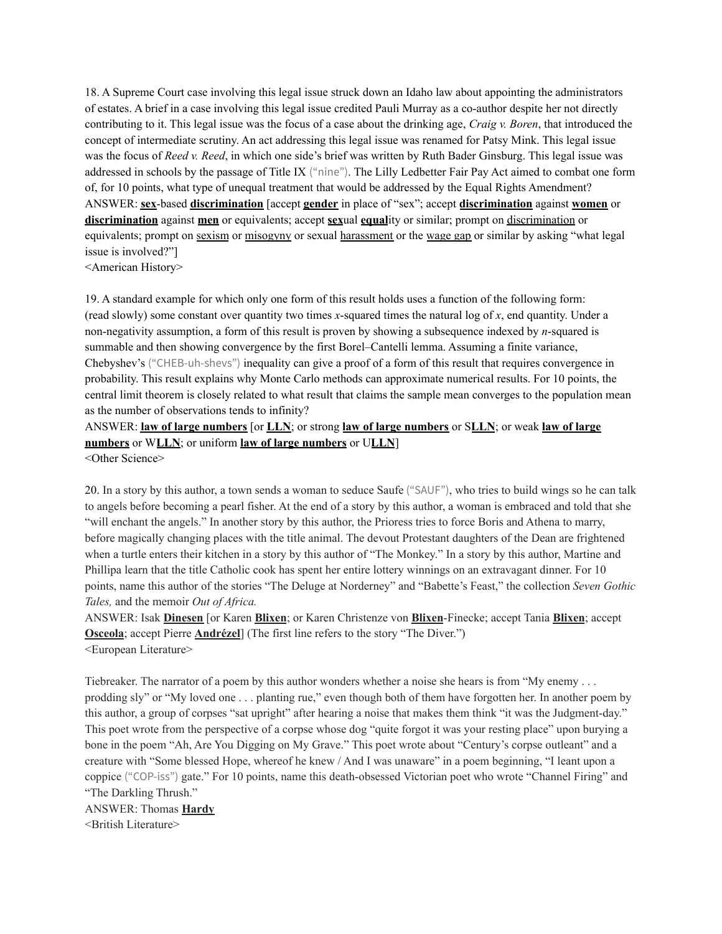18. A Supreme Court case involving this legal issue struck down an Idaho law about appointing the administrators of estates. A brief in a case involving this legal issue credited Pauli Murray as a co-author despite her not directly contributing to it. This legal issue was the focus of a case about the drinking age, *Craig v. Boren*, that introduced the concept of intermediate scrutiny. An act addressing this legal issue was renamed for Patsy Mink. This legal issue was the focus of *Reed v. Reed*, in which one side's brief was written by Ruth Bader Ginsburg. This legal issue was addressed in schools by the passage of Title IX ("nine"). The Lilly Ledbetter Fair Pay Act aimed to combat one form of, for 10 points, what type of unequal treatment that would be addressed by the Equal Rights Amendment? ANSWER: **sex**-based **discrimination** [accept **gender** in place of "sex"; accept **discrimination** against **women** or **discrimination** against **men** or equivalents; accept **sex**ual **equal**ity or similar; prompt on discrimination or equivalents; prompt on sexism or misogyny or sexual harassment or the wage gap or similar by asking "what legal issue is involved?"]

<American History>

19. A standard example for which only one form of this result holds uses a function of the following form: (read slowly) some constant over quantity two times *x*-squared times the natural log of *x*, end quantity. Under a non-negativity assumption, a form of this result is proven by showing a subsequence indexed by *n*-squared is summable and then showing convergence by the first Borel–Cantelli lemma. Assuming a finite variance, Chebyshev's ("CHEB-uh-shevs") inequality can give a proof of a form of this result that requires convergence in probability. This result explains why Monte Carlo methods can approximate numerical results. For 10 points, the central limit theorem is closely related to what result that claims the sample mean converges to the population mean as the number of observations tends to infinity?

ANSWER: **law of large numbers** [or **LLN**; or strong **law of large numbers** or S**LLN**; or weak **law of large numbers** or W**LLN**; or uniform **law of large numbers** or U**LLN**] <Other Science>

20. In a story by this author, a town sends a woman to seduce Saufe ("SAUF"), who tries to build wings so he can talk to angels before becoming a pearl fisher. At the end of a story by this author, a woman is embraced and told that she "will enchant the angels." In another story by this author, the Prioress tries to force Boris and Athena to marry, before magically changing places with the title animal. The devout Protestant daughters of the Dean are frightened when a turtle enters their kitchen in a story by this author of "The Monkey." In a story by this author, Martine and Phillipa learn that the title Catholic cook has spent her entire lottery winnings on an extravagant dinner. For 10 points, name this author of the stories "The Deluge at Norderney" and "Babette's Feast," the collection *Seven Gothic Tales,* and the memoir *Out of Africa.*

ANSWER: Isak **Dinesen** [or Karen **Blixen**; or Karen Christenze von **Blixen**-Finecke; accept Tania **Blixen**; accept **Osceola**; accept Pierre **Andrézel**] (The first line refers to the story "The Diver.") <European Literature>

Tiebreaker. The narrator of a poem by this author wonders whether a noise she hears is from "My enemy . . . prodding sly" or "My loved one . . . planting rue," even though both of them have forgotten her. In another poem by this author, a group of corpses "sat upright" after hearing a noise that makes them think "it was the Judgment-day." This poet wrote from the perspective of a corpse whose dog "quite forgot it was your resting place" upon burying a bone in the poem "Ah, Are You Digging on My Grave." This poet wrote about "Century's corpse outleant" and a creature with "Some blessed Hope, whereof he knew / And I was unaware" in a poem beginning, "I leant upon a coppice ("COP-iss") gate." For 10 points, name this death-obsessed Victorian poet who wrote "Channel Firing" and "The Darkling Thrush."

ANSWER: Thomas **Hardy** <British Literature>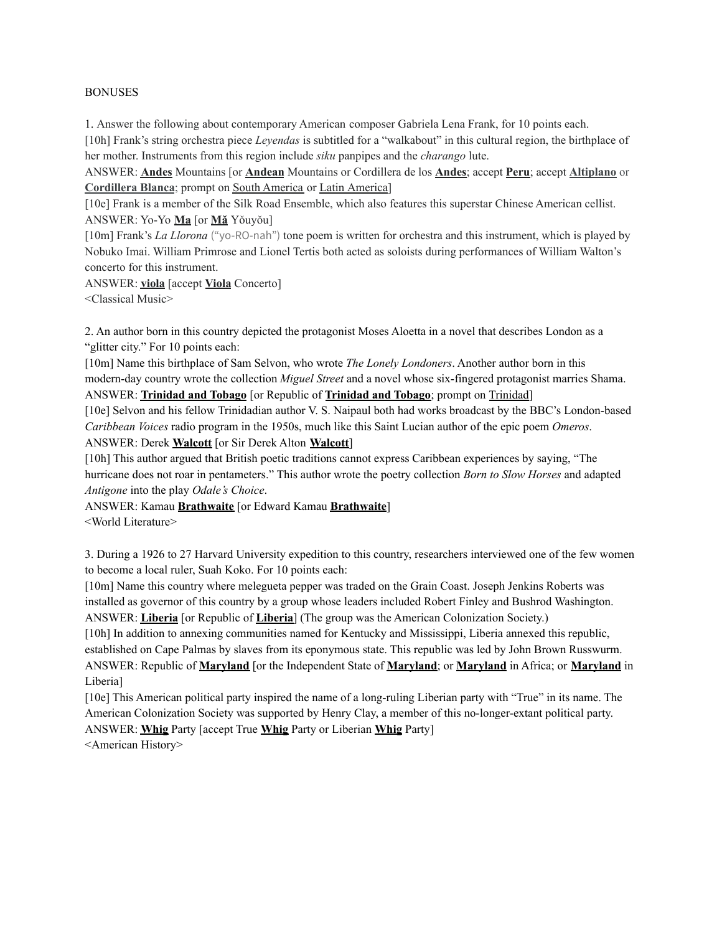#### BONUSES

1. Answer the following about contemporary American composer Gabriela Lena Frank, for 10 points each.

[10h] Frank's string orchestra piece *Leyendas* is subtitled for a "walkabout" in this cultural region, the birthplace of her mother. Instruments from this region include *siku* panpipes and the *charango* lute.

ANSWER: **Andes** Mountains [or **Andean** Mountains or Cordillera de los **Andes**; accept **Peru**; accept **Altiplano** or **Cordillera Blanca**; prompt on South America or Latin America]

[10e] Frank is a member of the Silk Road Ensemble, which also features this superstar Chinese American cellist. ANSWER: Yo-Yo **Ma** [or **Mǎ** Yǒuyǒu]

[10m] Frank's *La Llorona* ("yo-RO-nah") tone poem is written for orchestra and this instrument, which is played by Nobuko Imai. William Primrose and Lionel Tertis both acted as soloists during performances of William Walton's concerto for this instrument.

ANSWER: **viola** [accept **Viola** Concerto]

<Classical Music>

2. An author born in this country depicted the protagonist Moses Aloetta in a novel that describes London as a "glitter city." For 10 points each:

[10m] Name this birthplace of Sam Selvon, who wrote *The Lonely Londoners*. Another author born in this modern-day country wrote the collection *Miguel Street* and a novel whose six-fingered protagonist marries Shama. ANSWER: **Trinidad and Tobago** [or Republic of **Trinidad and Tobago**; prompt on Trinidad]

[10e] Selvon and his fellow Trinidadian author V. S. Naipaul both had works broadcast by the BBC's London-based *Caribbean Voices* radio program in the 1950s, much like this Saint Lucian author of the epic poem *Omeros*. ANSWER: Derek **Walcott** [or Sir Derek Alton **Walcott**]

[10h] This author argued that British poetic traditions cannot express Caribbean experiences by saying, "The hurricane does not roar in pentameters." This author wrote the poetry collection *Born to Slow Horses* and adapted *Antigone* into the play *Odale's Choice*.

ANSWER: Kamau **Brathwaite** [or Edward Kamau **Brathwaite**]

<World Literature>

3. During a 1926 to 27 Harvard University expedition to this country, researchers interviewed one of the few women to become a local ruler, Suah Koko. For 10 points each:

[10m] Name this country where melegueta pepper was traded on the Grain Coast. Joseph Jenkins Roberts was installed as governor of this country by a group whose leaders included Robert Finley and Bushrod Washington. ANSWER: **Liberia** [or Republic of **Liberia**] (The group was the American Colonization Society.)

[10h] In addition to annexing communities named for Kentucky and Mississippi, Liberia annexed this republic, established on Cape Palmas by slaves from its eponymous state. This republic was led by John Brown Russwurm. ANSWER: Republic of **Maryland** [or the Independent State of **Maryland**; or **Maryland** in Africa; or **Maryland** in Liberia]

[10e] This American political party inspired the name of a long-ruling Liberian party with "True" in its name. The American Colonization Society was supported by Henry Clay, a member of this no-longer-extant political party. ANSWER: **Whig** Party [accept True **Whig** Party or Liberian **Whig** Party]

<American History>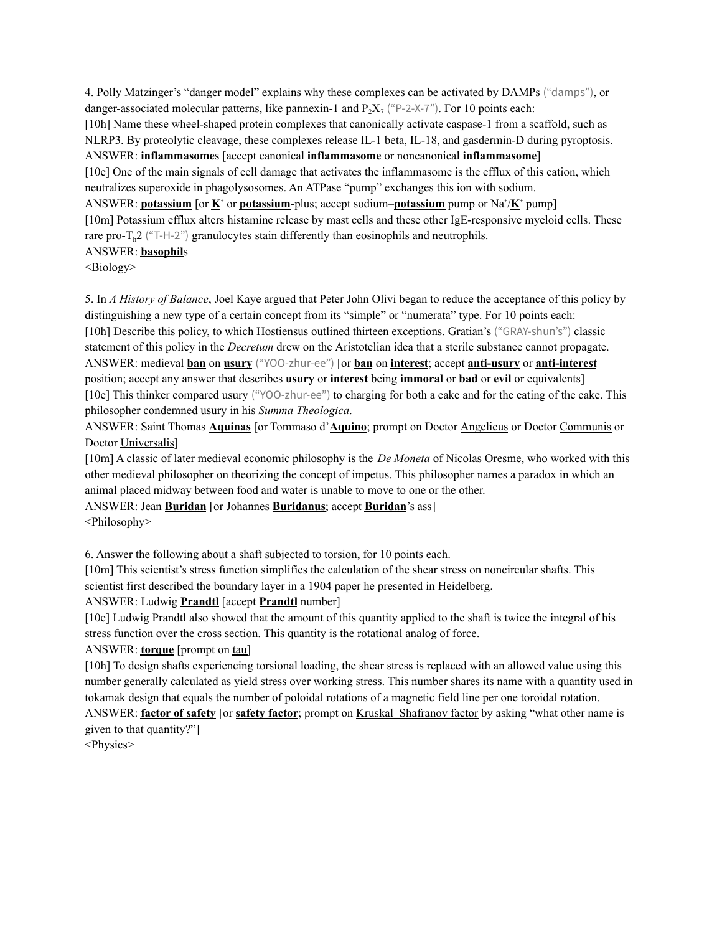4. Polly Matzinger's "danger model" explains why these complexes can be activated by DAMPs ("damps"), or danger-associated molecular patterns, like pannexin-1 and  $P_2X_7$  ("P-2-X-7"). For 10 points each: [10h] Name these wheel-shaped protein complexes that canonically activate caspase-1 from a scaffold, such as NLRP3. By proteolytic cleavage, these complexes release IL-1 beta, IL-18, and gasdermin-D during pyroptosis. ANSWER: **inflammasome**s [accept canonical **inflammasome** or noncanonical **inflammasome**] [10e] One of the main signals of cell damage that activates the inflammasome is the efflux of this cation, which neutralizes superoxide in phagolysosomes. An ATPase "pump" exchanges this ion with sodium. ANSWER: **potassium** [or  $\mathbf{K}^*$  or **potassium**-plus; accept sodium–**potassium** pump or Na<sup>+</sup>/ $\mathbf{K}^*$  pump] [10m] Potassium efflux alters histamine release by mast cells and these other IgE-responsive myeloid cells. These rare pro- $T_h$ 2 ("T-H-2") granulocytes stain differently than eosinophils and neutrophils. ANSWER: **basophil**s

<Biology>

5. In *A History of Balance*, Joel Kaye argued that Peter John Olivi began to reduce the acceptance of this policy by distinguishing a new type of a certain concept from its "simple" or "numerata" type. For 10 points each: [10h] Describe this policy, to which Hostiensus outlined thirteen exceptions. Gratian's ("GRAY-shun's") classic statement of this policy in the *Decretum* drew on the Aristotelian idea that a sterile substance cannot propagate. ANSWER: medieval **ban** on **usury** ("YOO-zhur-ee") [or **ban** on **interest**; accept **anti-usury** or **anti-interest** position; accept any answer that describes **usury** or **interest** being **immoral** or **bad** or **evil** or equivalents] [10e] This thinker compared usury ("YOO-zhur-ee") to charging for both a cake and for the eating of the cake. This philosopher condemned usury in his *Summa Theologica*.

ANSWER: Saint Thomas **Aquinas** [or Tommaso d'**Aquino**; prompt on Doctor Angelicus or Doctor Communis or Doctor Universalis]

[10m] A classic of later medieval economic philosophy is the *De Moneta* of Nicolas Oresme, who worked with this other medieval philosopher on theorizing the concept of impetus. This philosopher names a paradox in which an animal placed midway between food and water is unable to move to one or the other.

ANSWER: Jean **Buridan** [or Johannes **Buridanus**; accept **Buridan**'s ass] <Philosophy>

6. Answer the following about a shaft subjected to torsion, for 10 points each.

[10m] This scientist's stress function simplifies the calculation of the shear stress on noncircular shafts. This scientist first described the boundary layer in a 1904 paper he presented in Heidelberg.

# ANSWER: Ludwig **Prandtl** [accept **Prandtl** number]

[10e] Ludwig Prandtl also showed that the amount of this quantity applied to the shaft is twice the integral of his stress function over the cross section. This quantity is the rotational analog of force.

ANSWER: **torque** [prompt on tau]

[10h] To design shafts experiencing torsional loading, the shear stress is replaced with an allowed value using this number generally calculated as yield stress over working stress. This number shares its name with a quantity used in tokamak design that equals the number of poloidal rotations of a magnetic field line per one toroidal rotation. ANSWER: **factor of safety** [or **safety factor**; prompt on Kruskal–Shafranov factor by asking "what other name is given to that quantity?"]

<Physics>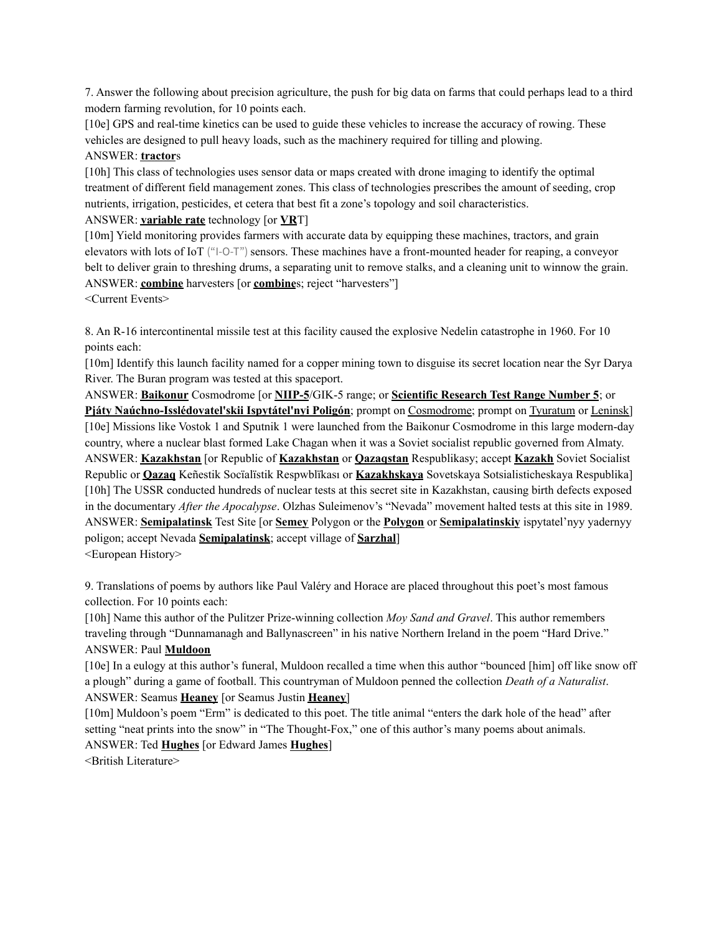7. Answer the following about precision agriculture, the push for big data on farms that could perhaps lead to a third modern farming revolution, for 10 points each.

[10e] GPS and real-time kinetics can be used to guide these vehicles to increase the accuracy of rowing. These vehicles are designed to pull heavy loads, such as the machinery required for tilling and plowing. ANSWER: **tractor**s

[10h] This class of technologies uses sensor data or maps created with drone imaging to identify the optimal treatment of different field management zones. This class of technologies prescribes the amount of seeding, crop nutrients, irrigation, pesticides, et cetera that best fit a zone's topology and soil characteristics.

### ANSWER: **variable rate** technology [or **VR**T]

[10m] Yield monitoring provides farmers with accurate data by equipping these machines, tractors, and grain elevators with lots of IoT ("I-O-T") sensors. These machines have a front-mounted header for reaping, a conveyor belt to deliver grain to threshing drums, a separating unit to remove stalks, and a cleaning unit to winnow the grain. ANSWER: **combine** harvesters [or **combine**s; reject "harvesters"]

<Current Events>

8. An R-16 intercontinental missile test at this facility caused the explosive Nedelin catastrophe in 1960. For 10 points each:

[10m] Identify this launch facility named for a copper mining town to disguise its secret location near the Syr Darya River. The Buran program was tested at this spaceport.

ANSWER: **Baikonur** Cosmodrome [or **NIIP-5**/GIK-5 range; or **Scientific Research Test Range Number 5**; or **Pjáty Naúchno-Isslédovatel'skii Ispytátel'nyi Poligón**; prompt on Cosmodrome; prompt on Tyuratum or Leninsk] [10e] Missions like Vostok 1 and Sputnik 1 were launched from the Baikonur Cosmodrome in this large modern-day country, where a nuclear blast formed Lake Chagan when it was a Soviet socialist republic governed from Almaty. ANSWER: **Kazakhstan** [or Republic of **Kazakhstan** or **Qazaqstan** Respublikasy; accept **Kazakh** Soviet Socialist Republic or **Qazaq** Keñestik Socïalïstik Respwblïkası or **Kazakhskaya** Sovetskaya Sotsialisticheskaya Respublika] [10h] The USSR conducted hundreds of nuclear tests at this secret site in Kazakhstan, causing birth defects exposed in the documentary *After the Apocalypse*. Olzhas Suleimenov's "Nevada" movement halted tests at this site in 1989. ANSWER: **Semipalatinsk** Test Site [or **Semey** Polygon or the **Polygon** or **Semipalatinskiy** ispytatel'nyy yadernyy poligon; accept Nevada **Semipalatinsk**; accept village of **Sarzhal**] <European History>

9. Translations of poems by authors like Paul Valéry and Horace are placed throughout this poet's most famous collection. For 10 points each:

[10h] Name this author of the Pulitzer Prize-winning collection *Moy Sand and Gravel*. This author remembers traveling through "Dunnamanagh and Ballynascreen" in his native Northern Ireland in the poem "Hard Drive." ANSWER: Paul **Muldoon**

[10e] In a eulogy at this author's funeral, Muldoon recalled a time when this author "bounced [him] off like snow off a plough" during a game of football. This countryman of Muldoon penned the collection *Death of a Naturalist*. ANSWER: Seamus **Heaney** [or Seamus Justin **Heaney**]

[10m] Muldoon's poem "Erm" is dedicated to this poet. The title animal "enters the dark hole of the head" after setting "neat prints into the snow" in "The Thought-Fox," one of this author's many poems about animals. ANSWER: Ted **Hughes** [or Edward James **Hughes**]

<British Literature>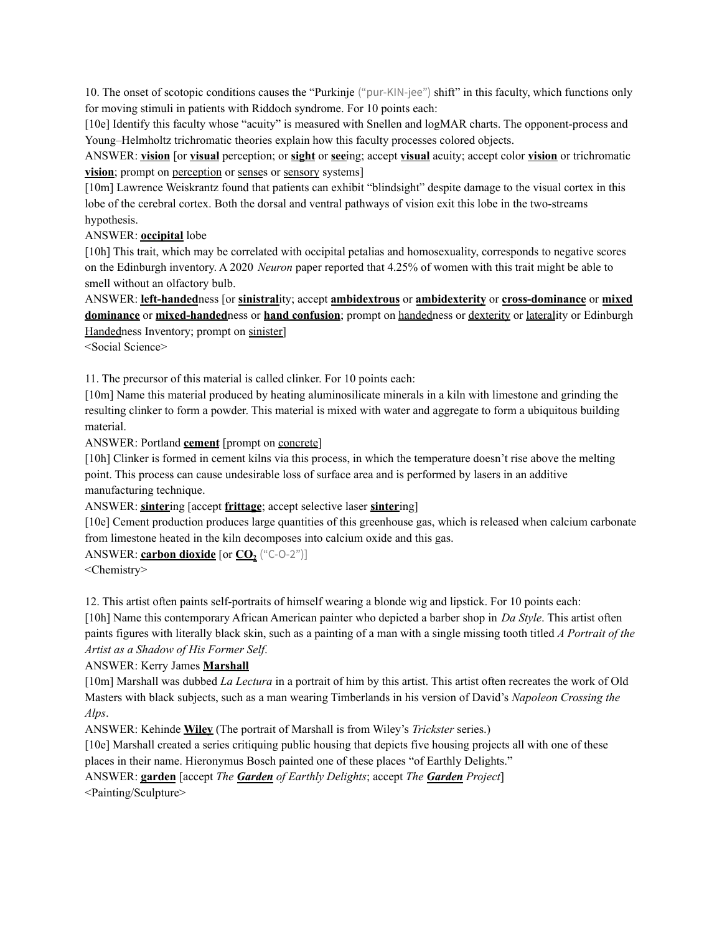10. The onset of scotopic conditions causes the "Purkinje ("pur-KIN-jee") shift" in this faculty, which functions only for moving stimuli in patients with Riddoch syndrome. For 10 points each:

[10e] Identify this faculty whose "acuity" is measured with Snellen and logMAR charts. The opponent-process and Young–Helmholtz trichromatic theories explain how this faculty processes colored objects.

ANSWER: **vision** [or **visual** perception; or **sight** or **see**ing; accept **visual** acuity; accept color **vision** or trichromatic **vision**; prompt on perception or senses or sensory systems]

[10m] Lawrence Weiskrantz found that patients can exhibit "blindsight" despite damage to the visual cortex in this lobe of the cerebral cortex. Both the dorsal and ventral pathways of vision exit this lobe in the two-streams hypothesis.

### ANSWER: **occipital** lobe

[10h] This trait, which may be correlated with occipital petalias and homosexuality, corresponds to negative scores on the Edinburgh inventory. A 2020 *Neuron* paper reported that 4.25% of women with this trait might be able to smell without an olfactory bulb.

ANSWER: **left-handed**ness [or **sinistral**ity; accept **ambidextrous** or **ambidexterity** or **cross-dominance** or **mixed dominance** or **mixed-handed**ness or **hand confusion**; prompt on handedness or dexterity or laterality or Edinburgh Handedness Inventory; prompt on sinister]

<Social Science>

11. The precursor of this material is called clinker. For 10 points each:

[10m] Name this material produced by heating aluminosilicate minerals in a kiln with limestone and grinding the resulting clinker to form a powder. This material is mixed with water and aggregate to form a ubiquitous building material.

ANSWER: Portland **cement** [prompt on concrete]

[10h] Clinker is formed in cement kilns via this process, in which the temperature doesn't rise above the melting point. This process can cause undesirable loss of surface area and is performed by lasers in an additive manufacturing technique.

# ANSWER: **sinter**ing [accept **frittage**; accept selective laser **sinter**ing]

[10e] Cement production produces large quantities of this greenhouse gas, which is released when calcium carbonate from limestone heated in the kiln decomposes into calcium oxide and this gas.

#### ANSWER: **carbon dioxide** [or  $CO<sub>2</sub>$  ("C-O-2")]

<Chemistry>

12. This artist often paints self-portraits of himself wearing a blonde wig and lipstick. For 10 points each:

[10h] Name this contemporary African American painter who depicted a barber shop in *Da Style*. This artist often paints figures with literally black skin, such as a painting of a man with a single missing tooth titled *A Portrait of the Artist as a Shadow of His Former Self*.

# ANSWER: Kerry James **Marshall**

[10m] Marshall was dubbed *La Lectura* in a portrait of him by this artist. This artist often recreates the work of Old Masters with black subjects, such as a man wearing Timberlands in his version of David's *Napoleon Crossing the Alps*.

ANSWER: Kehinde **Wiley** (The portrait of Marshall is from Wiley's *Trickster* series.)

[10e] Marshall created a series critiquing public housing that depicts five housing projects all with one of these places in their name. Hieronymus Bosch painted one of these places "of Earthly Delights."

ANSWER: **garden** [accept *The Garden of Earthly Delights*; accept *The Garden Project*]

<Painting/Sculpture>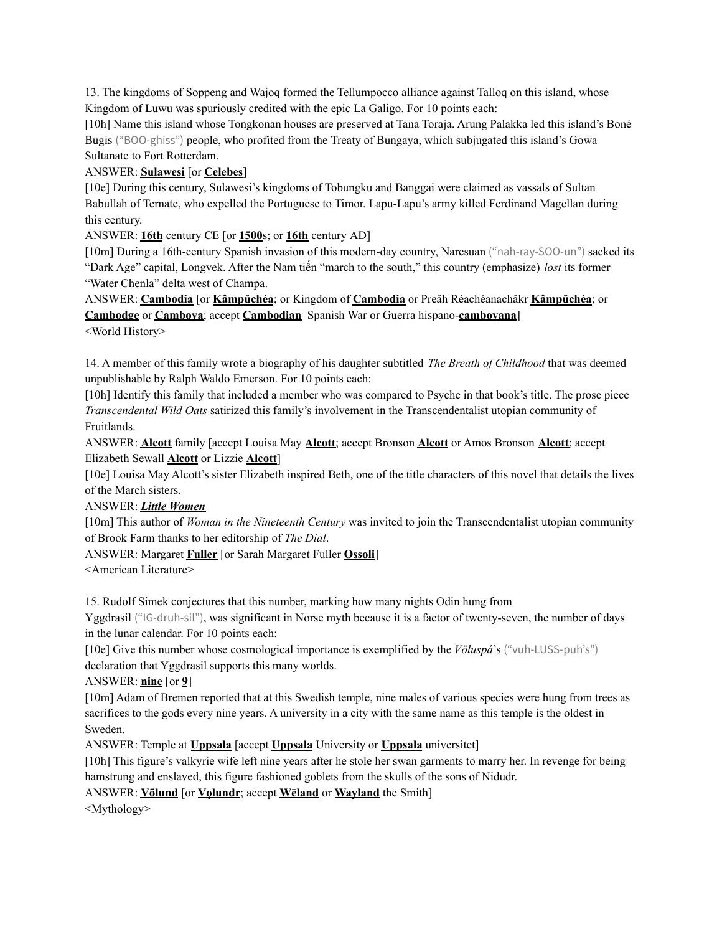13. The kingdoms of Soppeng and Wajoq formed the Tellumpocco alliance against Talloq on this island, whose Kingdom of Luwu was spuriously credited with the epic La Galigo. For 10 points each:

[10h] Name this island whose Tongkonan houses are preserved at Tana Toraja. Arung Palakka led this island's Boné Bugis ("BOO-ghiss") people, who profited from the Treaty of Bungaya, which subjugated this island's Gowa Sultanate to Fort Rotterdam.

# ANSWER: **Sulawesi** [or **Celebes**]

[10e] During this century, Sulawesi's kingdoms of Tobungku and Banggai were claimed as vassals of Sultan Babullah of Ternate, who expelled the Portuguese to Timor. Lapu-Lapu's army killed Ferdinand Magellan during this century.

ANSWER: **16th** century CE [or **1500**s; or **16th** century AD]

[10m] During a 16th-century Spanish invasion of this modern-day country, Naresuan ("nah-ray-SOO-un") sacked its "Dark Age" capital, Longvek. After the Nam tiến "march to the south," this country (emphasize) *lost* its former "Water Chenla" delta west of Champa.

ANSWER: **Cambodia** [or **Kâmpŭchéa**; or Kingdom of **Cambodia** or Preăh Réachéanachâkr **Kâmpŭchéa**; or **Cambodge** or **Camboya**; accept **Cambodian**–Spanish War or Guerra hispano-**camboyana**] <World History>

14. A member of this family wrote a biography of his daughter subtitled *The Breath of Childhood* that was deemed unpublishable by Ralph Waldo Emerson. For 10 points each:

[10h] Identify this family that included a member who was compared to Psyche in that book's title. The prose piece *Transcendental Wild Oats* satirized this family's involvement in the Transcendentalist utopian community of Fruitlands.

ANSWER: **Alcott** family [accept Louisa May **Alcott**; accept Bronson **Alcott** or Amos Bronson **Alcott**; accept Elizabeth Sewall **Alcott** or Lizzie **Alcott**]

[10e] Louisa May Alcott's sister Elizabeth inspired Beth, one of the title characters of this novel that details the lives of the March sisters.

# ANSWER: *Little Women*

[10m] This author of *Woman in the Nineteenth Century* was invited to join the Transcendentalist utopian community of Brook Farm thanks to her editorship of *The Dial*.

ANSWER: Margaret **Fuller** [or Sarah Margaret Fuller **Ossoli**]

<American Literature>

15. Rudolf Simek conjectures that this number, marking how many nights Odin hung from

Yggdrasil ("IG-druh-sil"), was significant in Norse myth because it is a factor of twenty-seven, the number of days in the lunar calendar. For 10 points each:

[10e] Give this number whose cosmological importance is exemplified by the *Völuspá*'s ("vuh-LUSS-puh's") declaration that Yggdrasil supports this many worlds.

ANSWER: **nine** [or **9**]

[10m] Adam of Bremen reported that at this Swedish temple, nine males of various species were hung from trees as sacrifices to the gods every nine years. A university in a city with the same name as this temple is the oldest in Sweden.

ANSWER: Temple at **Uppsala** [accept **Uppsala** University or **Uppsala** universitet]

[10h] This figure's valkyrie wife left nine years after he stole her swan garments to marry her. In revenge for being hamstrung and enslaved, this figure fashioned goblets from the skulls of the sons of Nidudr.

ANSWER: **Völund** [or **Volundr**; accept **Weland** or **Wayland** the Smith]

<Mythology>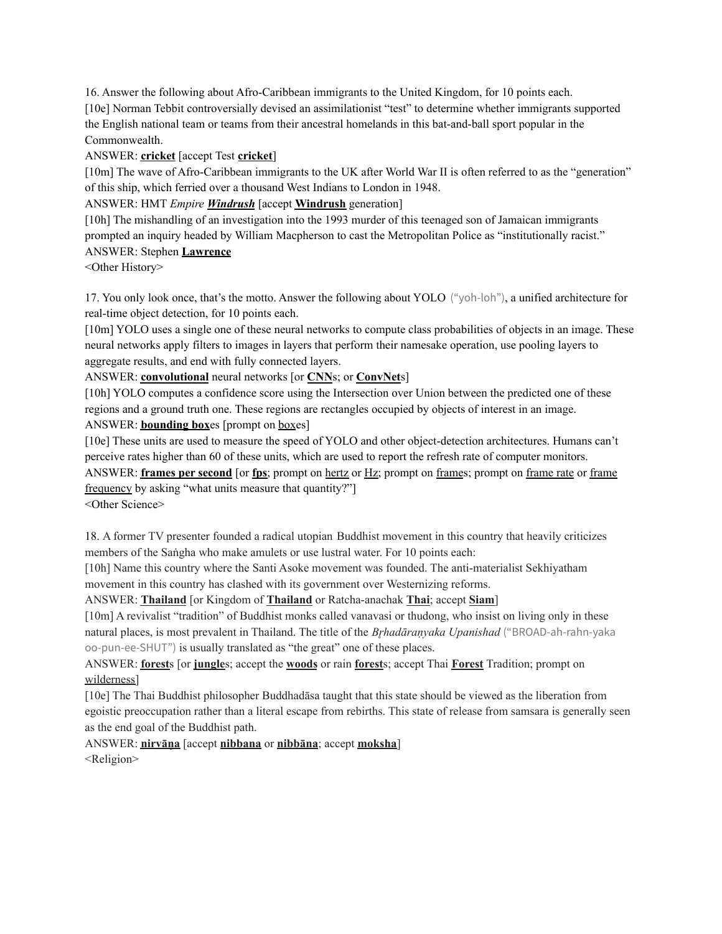16. Answer the following about Afro-Caribbean immigrants to the United Kingdom, for 10 points each. [10e] Norman Tebbit controversially devised an assimilationist "test" to determine whether immigrants supported the English national team or teams from their ancestral homelands in this bat-and-ball sport popular in the Commonwealth.

### ANSWER: **cricket** [accept Test **cricket**]

[10m] The wave of Afro-Caribbean immigrants to the UK after World War II is often referred to as the "generation" of this ship, which ferried over a thousand West Indians to London in 1948.

ANSWER: HMT *Empire Windrush* [accept **Windrush** generation]

[10h] The mishandling of an investigation into the 1993 murder of this teenaged son of Jamaican immigrants prompted an inquiry headed by William Macpherson to cast the Metropolitan Police as "institutionally racist." ANSWER: Stephen **Lawrence**

<Other History>

17. You only look once, that's the motto. Answer the following about YOLO ("yoh-loh"), a unified architecture for real-time object detection, for 10 points each.

[10m] YOLO uses a single one of these neural networks to compute class probabilities of objects in an image. These neural networks apply filters to images in layers that perform their namesake operation, use pooling layers to aggregate results, and end with fully connected layers.

ANSWER: **convolutional** neural networks [or **CNN**s; or **ConvNet**s]

[10h] YOLO computes a confidence score using the Intersection over Union between the predicted one of these regions and a ground truth one. These regions are rectangles occupied by objects of interest in an image. ANSWER: **bounding box**es [prompt on boxes]

[10e] These units are used to measure the speed of YOLO and other object-detection architectures. Humans can't perceive rates higher than 60 of these units, which are used to report the refresh rate of computer monitors. ANSWER: **frames per second** [or **fps**; prompt on hertz or Hz; prompt on frames; prompt on frame rate or frame frequency by asking "what units measure that quantity?"]

<Other Science>

18. A former TV presenter founded a radical utopian Buddhist movement in this country that heavily criticizes members of the Saṅgha who make amulets or use lustral water. For 10 points each:

[10h] Name this country where the Santi Asoke movement was founded. The anti-materialist Sekhiyatham movement in this country has clashed with its government over Westernizing reforms.

ANSWER: **Thailand** [or Kingdom of **Thailand** or Ratcha-anachak **Thai**; accept **Siam**]

[10m] A revivalist "tradition" of Buddhist monks called vanavasi or thudong, who insist on living only in these natural places, is most prevalent in Thailand. The title of the *Brhadāranyaka Upanishad* ("BROAD-ah-rahn-yaka oo-pun-ee-SHUT") is usually translated as "the great" one of these places.

ANSWER: **forest**s [or **jungle**s; accept the **woods** or rain **forest**s; accept Thai **Forest** Tradition; prompt on wilderness]

[10e] The Thai Buddhist philosopher Buddhadāsa taught that this state should be viewed as the liberation from egoistic preoccupation rather than a literal escape from rebirths. This state of release from samsara is generally seen as the end goal of the Buddhist path.

ANSWER: **nirvāṇa** [accept **nibbana** or **nibbāna**; accept **moksha**] <Religion>